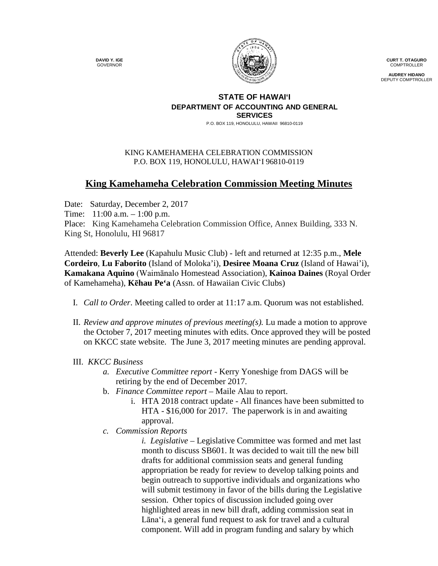**DAVID Y. IGE** GOVERNOR



**CURT T. OTAGURO** COMPTROLLER

**AUDREY HIDANO** DEPUTY COMPTROLLER

#### **STATE OF HAWAI'I DEPARTMENT OF ACCOUNTING AND GENERAL SERVICES**

P.O. BOX 119, HONOLULU, HAWAII 96810-0119

## KING KAMEHAMEHA CELEBRATION COMMISSION P.O. BOX 119, HONOLULU, HAWAIʻI 96810-0119

# **King Kamehameha Celebration Commission Meeting Minutes**

Date: Saturday, December 2, 2017 Time: 11:00 a.m. – 1:00 p.m. Place: King Kamehameha Celebration Commission Office, Annex Building, 333 N. King St, Honolulu, HI 96817

Attended: **Beverly Lee** (Kapahulu Music Club) - left and returned at 12:35 p.m., **Mele Cordeiro**, **Lu Faborito** (Island of Moloka'i), **Desiree Moana Cruz** (Island of Hawai'i), **Kamakana Aquino** (Waimānalo Homestead Association), **Kainoa Daines** (Royal Order of Kamehameha), **Kēhau Pe'a** (Assn. of Hawaiian Civic Clubs)

- I. *Call to Order*. Meeting called to order at 11:17 a.m. Quorum was not established.
- II. *Review and approve minutes of previous meeting(s).* Lu made a motion to approve the October 7, 2017 meeting minutes with edits. Once approved they will be posted on KKCC state website. The June 3, 2017 meeting minutes are pending approval.

# III. *KKCC Business*

- *a. Executive Committee report -* Kerry Yoneshige from DAGS will be retiring by the end of December 2017.
- b. *Finance Committee report –* Maile Alau to report.
	- i. HTA 2018 contract update All finances have been submitted to HTA - \$16,000 for 2017. The paperwork is in and awaiting approval.
- *c. Commission Reports*

*i. i. Legislative* – Legislative Committee was formed and met last month to discuss SB601. It was decided to wait till the new bill drafts for additional commission seats and general funding appropriation be ready for review to develop talking points and begin outreach to supportive individuals and organizations who will submit testimony in favor of the bills during the Legislative session. Other topics of discussion included going over highlighted areas in new bill draft, adding commission seat in Lānaʻi, a general fund request to ask for travel and a cultural component. Will add in program funding and salary by which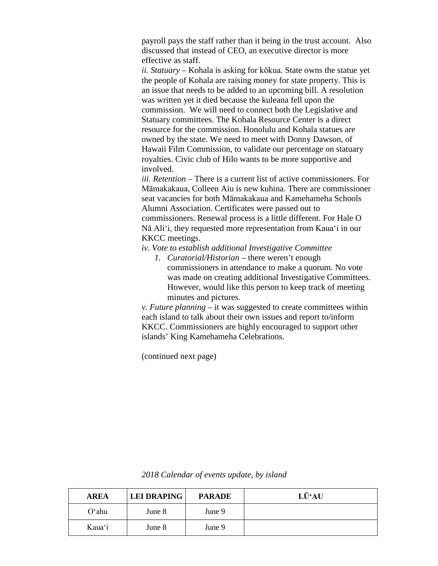payroll pays the staff rather than it being in the trust account. Also discussed that instead of CEO, an executive director is more effective as staff.

*ii. Statuary –* Kohala is asking for kōkua. State owns the statue yet the people of Kohala are raising money for state property. This is an issue that needs to be added to an upcoming bill. A resolution was written yet it died because the kuleana fell upon the commission. We will need to connect both the Legislative and Statuary committees. The Kohala Resource Center is a direct resource for the commission. Honolulu and Kohala statues are owned by the state. We need to meet with Donny Dawson, of Hawaii Film Commission, to validate our percentage on statuary royalties. Civic club of Hilo wants to be more supportive and involved.

*iii. Retention –* There is a current list of active commissioners. For Māmakakaua, Colleen Aiu is new kuhina. There are commissioner seat vacancies for both Māmakakaua and Kamehameha Schools Alumni Association. Certificates were passed out to commissioners. Renewal process is a little different. For Hale O Nā Aliʻi, they requested more representation from Kauaʻi in our KKCC meetings.

### *ii. iv. Vote to establish additional Investigative Committee*

*1. Curatorial/Historian –* there weren't enough commissioners in attendance to make a quorum. No vote was made on creating additional Investigative Committees. However, would like this person to keep track of meeting minutes and pictures.

*v. Future planning* – it was suggested to create committees within each island to talk about their own issues and report to/inform KKCC. Commissioners are highly encouraged to support other islands' King Kamehameha Celebrations.

*v.* (continued next page)

**AREA LEI DRAPING PARADE LŪʻAU** Oʻahu June 8 June 9 Kauaʻi June 8 June 9

*vii.2018 Calendar of events update, by island*